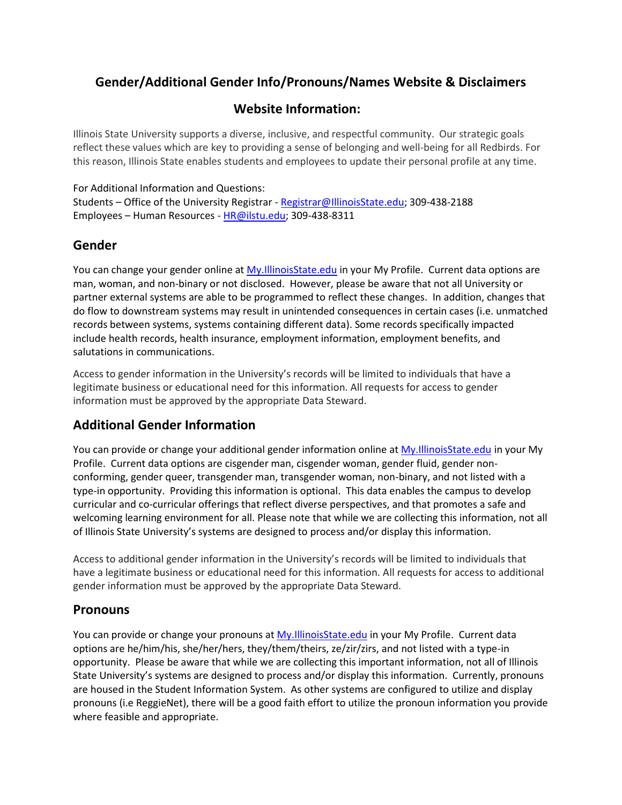# **Gender/Additional Gender Info/Pronouns/Names Website & Disclaimers**

# **Website Information:**

Illinois State University supports a diverse, inclusive, and respectful community. Our strategic goals reflect these values which are key to providing a sense of belonging and well-being for all Redbirds. For this reason, Illinois State enables students and employees to update their personal profile at any time.

### For Additional Information and Questions:

Students – Office of the University Registrar - [Registrar@IllinoisState.edu;](mailto:Registrar@IllinoisState.edu) 309-438-2188 Employees – Human Resources - [HR@ilstu.edu;](mailto:HR@ilstu.edu) 309-438-8311

# **Gender**

You can change your gender online at [My.IllinoisState.edu](https://my.illinoisstate.edu/) in your My Profile. Current data options are man, woman, and non-binary or not disclosed. However, please be aware that not all University or partner external systems are able to be programmed to reflect these changes. In addition, changes that do flow to downstream systems may result in unintended consequences in certain cases (i.e. unmatched records between systems, systems containing different data). Some records specifically impacted include health records, health insurance, employment information, employment benefits, and salutations in communications.

Access to gender information in the University's records will be limited to individuals that have a legitimate business or educational need for this information. All requests for access to gender information must be approved by the appropriate Data Steward.

# **Additional Gender Information**

You can provide or change your additional gender information online a[t My.IllinoisState.edu](https://my.illinoisstate.edu/) in your My Profile. Current data options are cisgender man, cisgender woman, gender fluid, gender nonconforming, gender queer, transgender man, transgender woman, non-binary, and not listed with a type-in opportunity. Providing this information is optional. This data enables the campus to develop curricular and co-curricular offerings that reflect diverse perspectives, and that promotes a safe and welcoming learning environment for all. Please note that while we are collecting this information, not all of Illinois State University's systems are designed to process and/or display this information.

Access to additional gender information in the University's records will be limited to individuals that have a legitimate business or educational need for this information. All requests for access to additional gender information must be approved by the appropriate Data Steward.

### **Pronouns**

You can provide or change your pronouns a[t My.IllinoisState.edu](https://my.illinoisstate.edu/) in your My Profile. Current data options are he/him/his, she/her/hers, they/them/theirs, ze/zir/zirs, and not listed with a type-in opportunity. Please be aware that while we are collecting this important information, not all of Illinois State University's systems are designed to process and/or display this information. Currently, pronouns are housed in the Student Information System. As other systems are configured to utilize and display pronouns (i.e ReggieNet), there will be a good faith effort to utilize the pronoun information you provide where feasible and appropriate.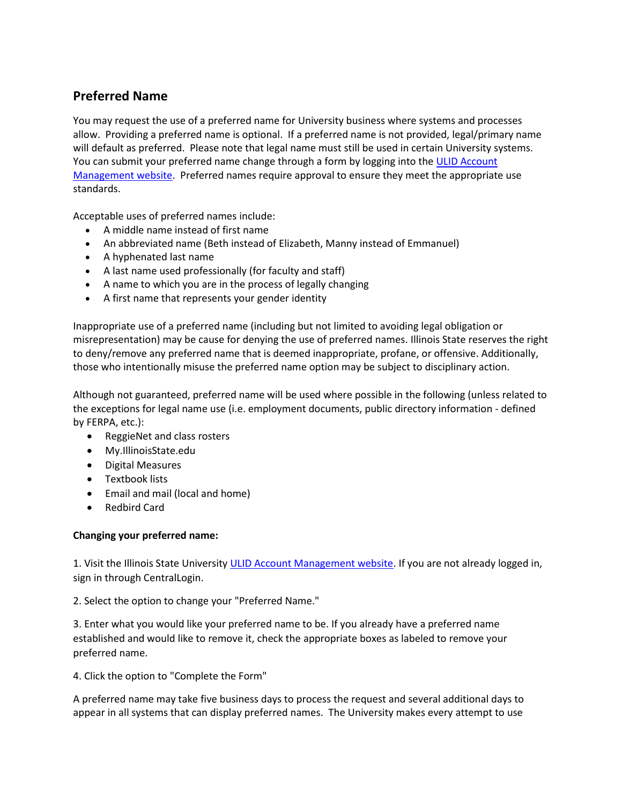# **Preferred Name**

You may request the use of a preferred name for University business where systems and processes allow. Providing a preferred name is optional. If a preferred name is not provided, legal/primary name will default as preferred. Please note that legal name must still be used in certain University systems. You can submit your preferred name change through a form by logging into the ULID Account [Management website.](https://account.illinoisstate.edu/selfservice/login/) Preferred names require approval to ensure they meet the appropriate use standards.

Acceptable uses of preferred names include:

- A middle name instead of first name
- An abbreviated name (Beth instead of Elizabeth, Manny instead of Emmanuel)
- A hyphenated last name
- A last name used professionally (for faculty and staff)
- A name to which you are in the process of legally changing
- A first name that represents your gender identity

Inappropriate use of a preferred name (including but not limited to avoiding legal obligation or misrepresentation) may be cause for denying the use of preferred names. Illinois State reserves the right to deny/remove any preferred name that is deemed inappropriate, profane, or offensive. Additionally, those who intentionally misuse the preferred name option may be subject to disciplinary action.

Although not guaranteed, preferred name will be used where possible in the following (unless related to the exceptions for legal name use (i.e. employment documents, public directory information - defined by FERPA, etc.):

- ReggieNet and class rosters
- My.IllinoisState.edu
- Digital Measures
- **•** Textbook lists
- Email and mail (local and home)
- Redbird Card

#### **Changing your preferred name:**

1. Visit the Illinois State Universit[y ULID Account Management website.](https://account.illinoisstate.edu/selfservice/login/) If you are not already logged in, sign in through CentralLogin.

2. Select the option to change your "Preferred Name."

3. Enter what you would like your preferred name to be. If you already have a preferred name established and would like to remove it, check the appropriate boxes as labeled to remove your preferred name.

4. Click the option to "Complete the Form"

A preferred name may take five business days to process the request and several additional days to appear in all systems that can display preferred names. The University makes every attempt to use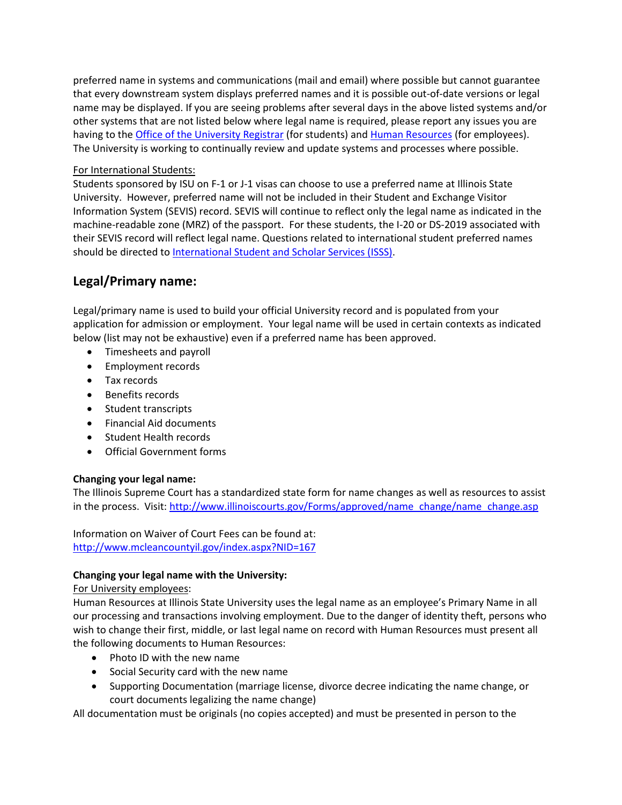preferred name in systems and communications (mail and email) where possible but cannot guarantee that every downstream system displays preferred names and it is possible out-of-date versions or legal name may be displayed. If you are seeing problems after several days in the above listed systems and/or other systems that are not listed below where legal name is required, please report any issues you are having to th[e Office of the University Registrar](https://registrar.illinoisstate.edu/personal-information/) (for students) an[d Human Resources](https://hr.illinoisstate.edu/) (for employees). The University is working to continually review and update systems and processes where possible.

#### For International Students:

Students sponsored by ISU on F-1 or J-1 visas can choose to use a preferred name at Illinois State University. However, preferred name will not be included in their Student and Exchange Visitor Information System (SEVIS) record. SEVIS will continue to reflect only the legal name as indicated in the machine-readable zone (MRZ) of the passport. For these students, the I-20 or DS-2019 associated with their SEVIS record will reflect legal name. Questions related to international student preferred names should be directed to [International Student and Scholar Services \(ISSS\).](https://isssportal.illinoisstate.edu/)

# **Legal/Primary name:**

Legal/primary name is used to build your official University record and is populated from your application for admission or employment. Your legal name will be used in certain contexts as indicated below (list may not be exhaustive) even if a preferred name has been approved.

- Timesheets and payroll
- Employment records
- Tax records
- Benefits records
- Student transcripts
- Financial Aid documents
- Student Health records
- Official Government forms

#### **Changing your legal name:**

The Illinois Supreme Court has a standardized state form for name changes as well as resources to assist in the process. Visit: [http://www.illinoiscourts.gov/Forms/approved/name\\_change/name\\_change.asp](http://www.illinoiscourts.gov/Forms/approved/name_change/name_change.asp)

Information on Waiver of Court Fees can be found at: <http://www.mcleancountyil.gov/index.aspx?NID=167>

#### **Changing your legal name with the University:**

#### For University employees:

Human Resources at Illinois State University uses the legal name as an employee's Primary Name in all our processing and transactions involving employment. Due to the danger of identity theft, persons who wish to change their first, middle, or last legal name on record with Human Resources must present all the following documents to Human Resources:

- Photo ID with the new name
- Social Security card with the new name
- Supporting Documentation (marriage license, divorce decree indicating the name change, or court documents legalizing the name change)

All documentation must be originals (no copies accepted) and must be presented in person to the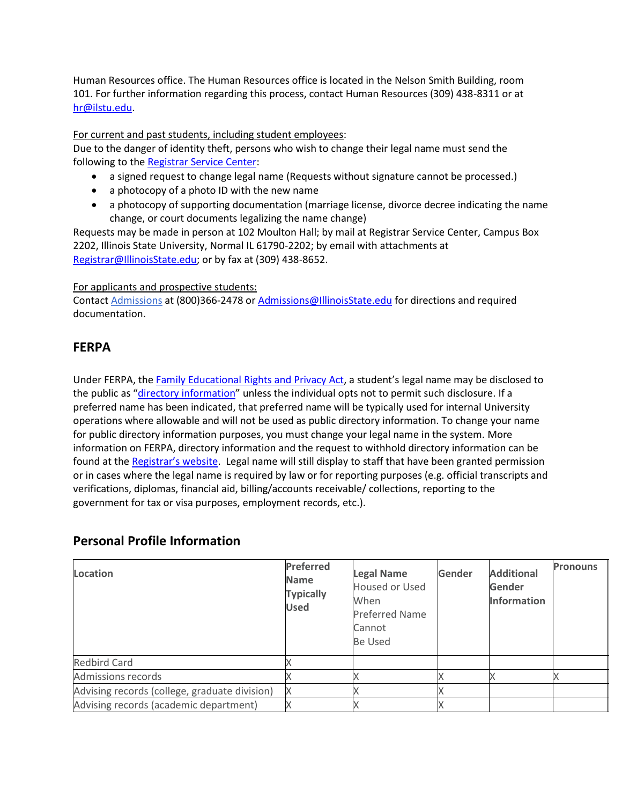Human Resources office. The Human Resources office is located in the Nelson Smith Building, room 101. For further information regarding this process, contact Human Resources (309) 438-8311 or at [hr@ilstu.edu.](mailto:hr@ilstu.edu)

#### For current and past students, including student employees:

Due to the danger of identity theft, persons who wish to change their legal name must send the following to the [Registrar Service Center:](http://registrar.illinoisstate.edu/contact/)

- a signed request to change legal name (Requests without signature cannot be processed.)
- a photocopy of a photo ID with the new name
- a photocopy of supporting documentation (marriage license, divorce decree indicating the name change, or court documents legalizing the name change)

Requests may be made in person at 102 Moulton Hall; by mail at Registrar Service Center, Campus Box 2202, Illinois State University, Normal IL 61790-2202; by email with attachments at [Registrar@IllinoisState.edu;](mailto:Registrar@IllinoisState.edu) or by fax at (309) 438-8652.

#### For applicants and prospective students:

Contact [Admissions](https://illinoisstate.edu/admissions/contact/) at (800)366-2478 or [Admissions@IllinoisState.edu](mailto:Admissions@IllinoisState.edu) for directions and required documentation.

### **FERPA**

Under FERPA, the Family [Educational](https://registrar.illinoisstate.edu/ferpa/) Rights and Privacy Act, a student's legal name may be disclosed to the public as "[directory information](https://registrar.illinoisstate.edu/ferpa/)" unless the individual opts not to permit such disclosure. If a preferred name has been indicated, that preferred name will be typically used for internal University operations where allowable and will not be used as public directory information. To change your name for public directory information purposes, you must change your legal name in the system. More information on FERPA, directory information and the request to withhold directory information can be found at the [Registrar's website](https://registrar.illinoisstate.edu/ferpa/). Legal name will still display to staff that have been granted permission or in cases where the legal name is required by law or for reporting purposes (e.g. official transcripts and verifications, diplomas, financial aid, billing/accounts receivable/ collections, reporting to the government for tax or visa purposes, employment records, etc.).

| Location                                      | <b>Preferred</b><br><b>Name</b><br><b>Typically</b><br><b>Used</b> | <b>Legal Name</b><br><b>Housed or Used</b><br>When<br><b>Preferred Name</b><br>Cannot<br><b>Be Used</b> | Gender | <b>Additional</b><br>Gender<br><b>Information</b> | <b>Pronouns</b> |
|-----------------------------------------------|--------------------------------------------------------------------|---------------------------------------------------------------------------------------------------------|--------|---------------------------------------------------|-----------------|
| <b>Redbird Card</b>                           |                                                                    |                                                                                                         |        |                                                   |                 |
| Admissions records                            |                                                                    |                                                                                                         |        |                                                   |                 |
| Advising records (college, graduate division) |                                                                    |                                                                                                         |        |                                                   |                 |
| Advising records (academic department)        |                                                                    |                                                                                                         |        |                                                   |                 |

### **Personal Profile Information**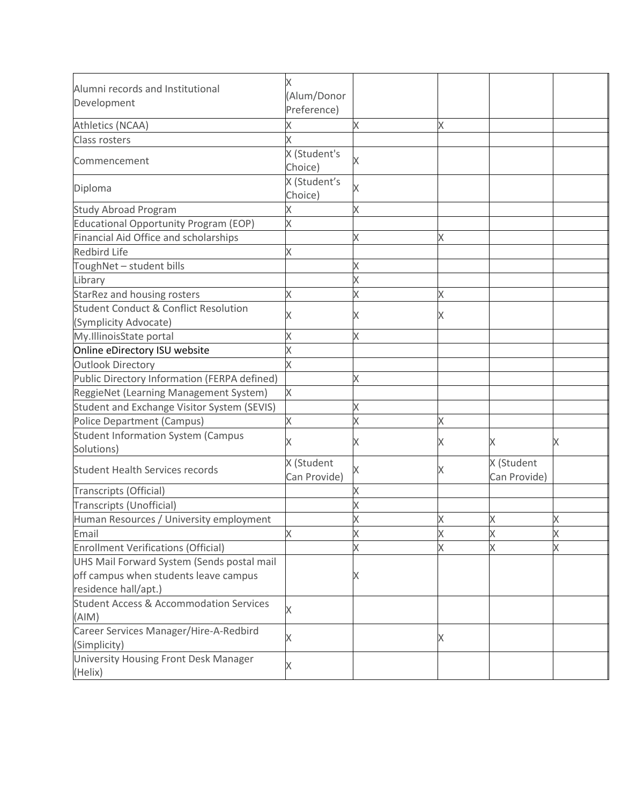| Alumni records and Institutional                            |                            |   |   |                            |   |
|-------------------------------------------------------------|----------------------------|---|---|----------------------------|---|
| Development                                                 | Alum/Donor                 |   |   |                            |   |
|                                                             | Preference)                |   |   |                            |   |
| Athletics (NCAA)                                            |                            | X | Χ |                            |   |
| <b>Class rosters</b>                                        |                            |   |   |                            |   |
| Commencement                                                | X (Student's<br>Choice)    | Χ |   |                            |   |
| Diploma                                                     | X (Student's<br>Choice)    | Χ |   |                            |   |
| <b>Study Abroad Program</b>                                 |                            | X |   |                            |   |
| <b>Educational Opportunity Program (EOP)</b>                | X                          |   |   |                            |   |
| Financial Aid Office and scholarships                       |                            | Χ | X |                            |   |
| <b>Redbird Life</b>                                         | Χ                          |   |   |                            |   |
| ToughNet - student bills                                    |                            |   |   |                            |   |
| Library                                                     |                            |   |   |                            |   |
| StarRez and housing rosters                                 |                            | X | Χ |                            |   |
| <b>Student Conduct &amp; Conflict Resolution</b>            |                            |   |   |                            |   |
| (Symplicity Advocate)                                       |                            | Χ | X |                            |   |
| My.IllinoisState portal                                     |                            | X |   |                            |   |
| Online eDirectory ISU website                               |                            |   |   |                            |   |
| <b>Outlook Directory</b>                                    |                            |   |   |                            |   |
| Public Directory Information (FERPA defined)                |                            | X |   |                            |   |
| ReggieNet (Learning Management System)                      | X                          |   |   |                            |   |
| Student and Exchange Visitor System (SEVIS)                 |                            |   |   |                            |   |
| <b>Police Department (Campus)</b>                           |                            |   | X |                            |   |
| <b>Student Information System (Campus</b><br>Solutions)     |                            | Χ | X | Χ                          | Χ |
| <b>Student Health Services records</b>                      | X (Student<br>Can Provide) | Χ | X | X (Student<br>Can Provide) |   |
| <b>Transcripts (Official)</b>                               |                            |   |   |                            |   |
| Transcripts (Unofficial)                                    |                            | Χ |   |                            |   |
| Human Resources / University employment                     |                            | X | Χ | Χ                          | Χ |
| Email                                                       | X                          | Х | Х | Х                          | Х |
| <b>Enrollment Verifications (Official)</b>                  |                            |   |   |                            |   |
| UHS Mail Forward System (Sends postal mail                  |                            |   |   |                            |   |
| off campus when students leave campus                       |                            |   |   |                            |   |
| residence hall/apt.)                                        |                            |   |   |                            |   |
| <b>Student Access &amp; Accommodation Services</b><br>(AIM) | Χ                          |   |   |                            |   |
| Career Services Manager/Hire-A-Redbird<br>(Simplicity)      | Χ                          |   | X |                            |   |
| University Housing Front Desk Manager<br>(Helix)            |                            |   |   |                            |   |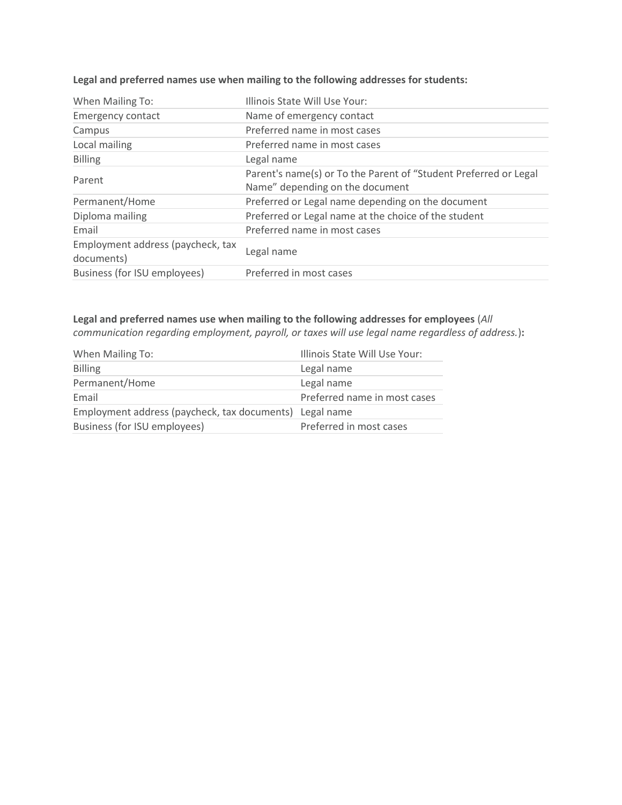| When Mailing To:                                | Illinois State Will Use Your:                                                                       |
|-------------------------------------------------|-----------------------------------------------------------------------------------------------------|
| <b>Emergency contact</b>                        | Name of emergency contact                                                                           |
| Campus                                          | Preferred name in most cases                                                                        |
| Local mailing                                   | Preferred name in most cases                                                                        |
| <b>Billing</b>                                  | Legal name                                                                                          |
| Parent                                          | Parent's name(s) or To the Parent of "Student Preferred or Legal<br>Name" depending on the document |
| Permanent/Home                                  | Preferred or Legal name depending on the document                                                   |
| Diploma mailing                                 | Preferred or Legal name at the choice of the student                                                |
| Email                                           | Preferred name in most cases                                                                        |
| Employment address (paycheck, tax<br>documents) | Legal name                                                                                          |
| Business (for ISU employees)                    | Preferred in most cases                                                                             |

### **Legal and preferred names use when mailing to the following addresses for students:**

# **Legal and preferred names use when mailing to the following addresses for employees** (*All*

*communication regarding employment, payroll, or taxes will use legal name regardless of address.*)**:**

| Illinois State Will Use Your:                           |  |  |
|---------------------------------------------------------|--|--|
| Legal name                                              |  |  |
| Legal name                                              |  |  |
| Preferred name in most cases                            |  |  |
| Employment address (paycheck, tax documents) Legal name |  |  |
| Preferred in most cases                                 |  |  |
|                                                         |  |  |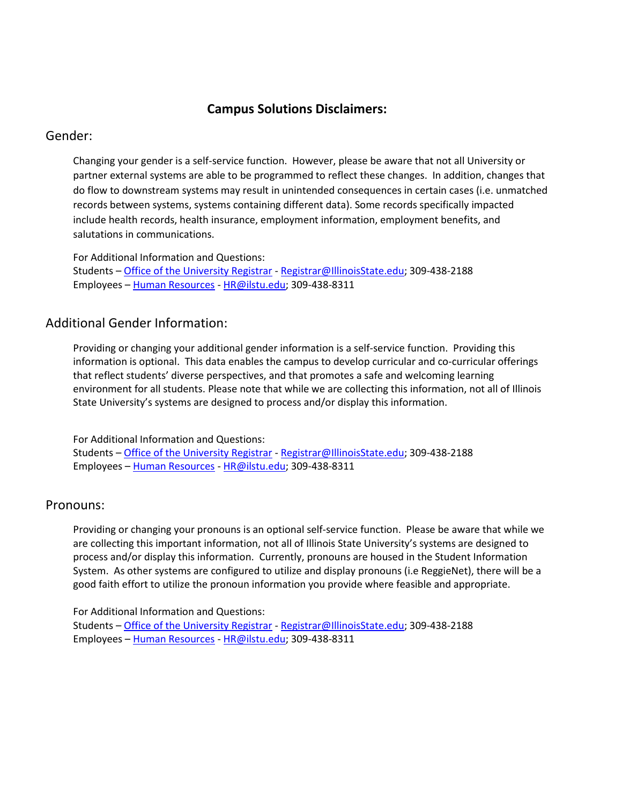### **Campus Solutions Disclaimers:**

### Gender:

Changing your gender is a self-service function. However, please be aware that not all University or partner external systems are able to be programmed to reflect these changes. In addition, changes that do flow to downstream systems may result in unintended consequences in certain cases (i.e. unmatched records between systems, systems containing different data). Some records specifically impacted include health records, health insurance, employment information, employment benefits, and salutations in communications.

For Additional Information and Questions: Students – [Office of the University Registrar](https://registrar.illinoisstate.edu/personal-information/) - [Registrar@IllinoisState.edu;](mailto:Registrar@IllinoisState.edu) 309-438-2188 Employees – [Human Resources](https://hr.illinoisstate.edu/) - [HR@ilstu.edu;](mailto:HR@ilstu.edu) 309-438-8311

### Additional Gender Information:

Providing or changing your additional gender information is a self-service function. Providing this information is optional. This data enables the campus to develop curricular and co-curricular offerings that reflect students' diverse perspectives, and that promotes a safe and welcoming learning environment for all students. Please note that while we are collecting this information, not all of Illinois State University's systems are designed to process and/or display this information.

For Additional Information and Questions: Students – [Office of the University Registrar](https://registrar.illinoisstate.edu/personal-information/) - [Registrar@IllinoisState.edu;](mailto:Registrar@IllinoisState.edu) 309-438-2188 Employees – [Human Resources](https://hr.illinoisstate.edu/) - [HR@ilstu.edu;](mailto:HR@ilstu.edu) 309-438-8311

### Pronouns:

Providing or changing your pronouns is an optional self-service function. Please be aware that while we are collecting this important information, not all of Illinois State University's systems are designed to process and/or display this information. Currently, pronouns are housed in the Student Information System. As other systems are configured to utilize and display pronouns (i.e ReggieNet), there will be a good faith effort to utilize the pronoun information you provide where feasible and appropriate.

For Additional Information and Questions:

Students – [Office of the University Registrar](https://registrar.illinoisstate.edu/personal-information/) - [Registrar@IllinoisState.edu;](mailto:Registrar@IllinoisState.edu) 309-438-2188 Employees – [Human Resources](https://hr.illinoisstate.edu/) - [HR@ilstu.edu;](mailto:HR@ilstu.edu) 309-438-8311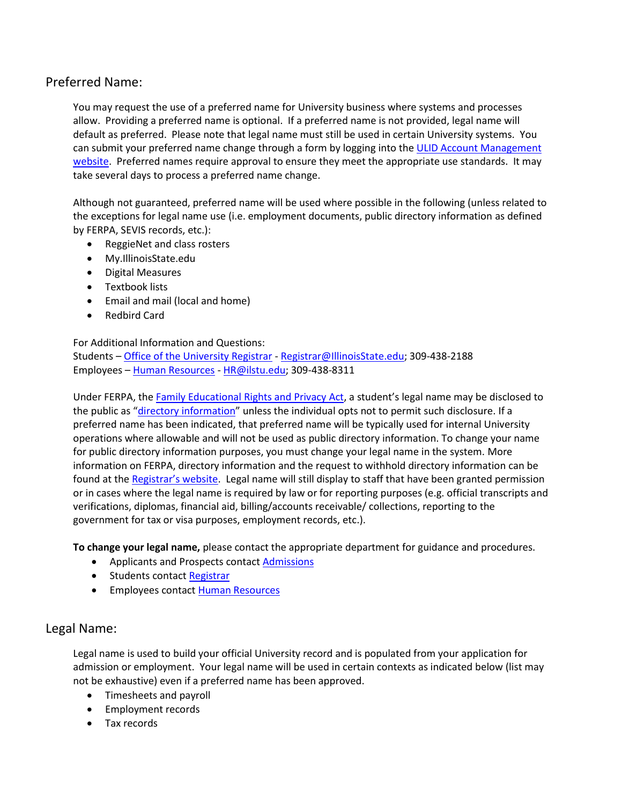# Preferred Name:

You may request the use of a preferred name for University business where systems and processes allow. Providing a preferred name is optional. If a preferred name is not provided, legal name will default as preferred. Please note that legal name must still be used in certain University systems. You can submit your preferred name change through a form by logging into the ULID Account Management [website.](https://account.illinoisstate.edu/selfservice/login/) Preferred names require approval to ensure they meet the appropriate use standards. It may take several days to process a preferred name change.

Although not guaranteed, preferred name will be used where possible in the following (unless related to the exceptions for legal name use (i.e. employment documents, public directory information as defined by FERPA, SEVIS records, etc.):

- ReggieNet and class rosters
- My.IllinoisState.edu
- Digital Measures
- Textbook lists
- Email and mail (local and home)
- Redbird Card

#### For Additional Information and Questions:

Students – [Office of the University Registrar](https://registrar.illinoisstate.edu/personal-information/) - [Registrar@IllinoisState.edu;](mailto:Registrar@IllinoisState.edu) 309-438-2188 Employees – [Human Resources](https://hr.illinoisstate.edu/) - [HR@ilstu.edu;](mailto:HR@ilstu.edu) 309-438-8311

Under FERPA, the Family [Educational](https://registrar.illinoisstate.edu/ferpa/) Rights and Privacy Act, a student's legal name may be disclosed to the public as "[directory information](https://registrar.illinoisstate.edu/ferpa/)" unless the individual opts not to permit such disclosure. If a preferred name has been indicated, that preferred name will be typically used for internal University operations where allowable and will not be used as public directory information. To change your name for public directory information purposes, you must change your legal name in the system. More information on FERPA, directory information and the request to withhold directory information can be found at the [Registrar's website](https://registrar.illinoisstate.edu/ferpa/). Legal name will still display to staff that have been granted permission or in cases where the legal name is required by law or for reporting purposes (e.g. official transcripts and verifications, diplomas, financial aid, billing/accounts receivable/ collections, reporting to the government for tax or visa purposes, employment records, etc.).

**To change your legal name,** please contact the appropriate department for guidance and procedures.

- Applicants and Prospects contact **[Admissions](https://illinoisstate.edu/admissions/contact/)**
- Students contact [Registrar](https://registrar.illinoisstate.edu/contact/)
- **Employees contact [Human Resources](https://hr.illinoisstate.edu/contact/)**

### Legal Name:

Legal name is used to build your official University record and is populated from your application for admission or employment. Your legal name will be used in certain contexts as indicated below (list may not be exhaustive) even if a preferred name has been approved.

- Timesheets and payroll
- **•** Employment records
- Tax records